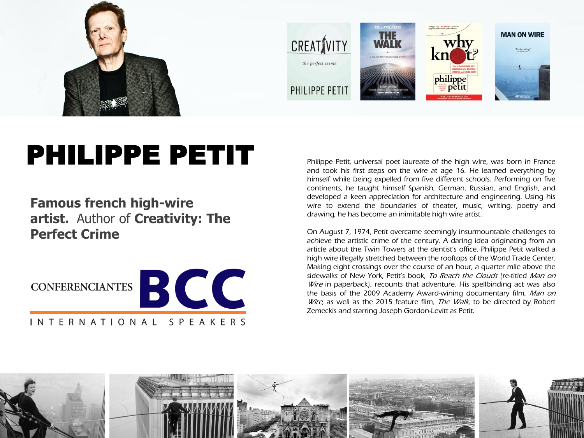

## PHILIPPE PETIT

**Famous french high-wire artist.** Author of **Creativity: The Perfect Crime**



Philippe Petit, universal poet laureate of the high wire, was born in France and took his first steps on the wire at age 16. He learned everything by himself while being expelled from five different schools. Performing on five continents, he taught himself Spanish, German, Russian, and English, and developed a keen appreciation for architecture and engineering. Using his wire to extend the boundaries of theater, music, writing, poetry and drawing, he has become an inimitable high wire artist.

On August 7, 1974, Petit overcame seemingly insurmountable challenges to achieve the artistic crime of the century. A daring idea originating from an article about the Twin Towers at the dentist's office, Philippe Petit walked a high wire illegally stretched between the rooftops of the World Trade Center. Making eight crossings over the course of an hour, a quarter mile above the sidewalks of New York, Petit's book, To Reach the Clouds (re-titled Man on Wire in paperback), recounts that adventure. His spellbinding act was also the basis of the 2009 Academy Award-wining documentary film, Man on Wire, as well as the 2015 feature film, The Walk, to be directed by Robert Zemeckis and starring Joseph Gordon-Levitt as Petit.